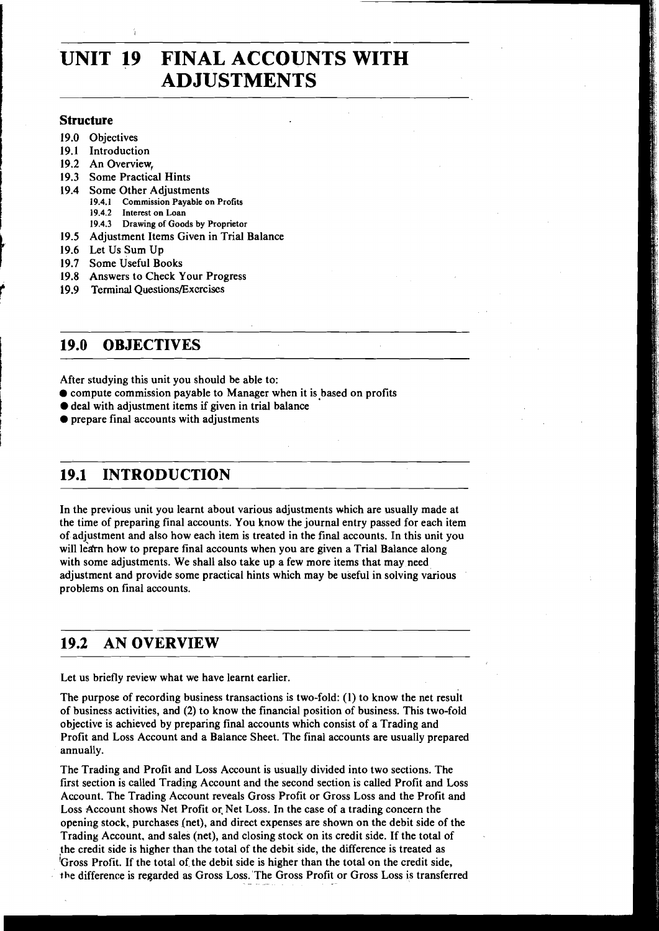# **UNIT 19 FINAL ACCOUNTS WITH ADJUSTMENTS**

#### **Structure**

- **19.0** Objectives
- **19.1** Introduction
- **19.2** An Overview,
- **19.3** Some Practical Hints
- **19.4** Some Other Adjustments
	- **19.4.1 Commission Payable on Profits 19.4.2 Interest on Loan**
	- **19.4.3 Drawing of Goods by Proprietor**
- **19.5** Adjustment Items Given in Trial Balance
- **19.6** Let Us Sum Up
- **19.7** Some Useful Books
- **19.8** Answers to Check Your Progress
- **19.9 Terminal Questions/Excrcises**

### **19.0 OBJECTIVES**

After studying this unit you should be able to:

- $\bullet$  compute commission payable to Manager when it is based on profits
- $\bullet$  deal with adjustment items if given in trial balance
- $\bullet$  prepare final accounts with adjustments

# **19.1 INTRODUCTION**

In the previous unit you learnt about various adjustments which are usually made at the time of preparing final accounts. You know the journal entry passed for each item of adjustment and also how each item is treated in the final accounts. In this unit you will learn how to prepare final accounts when you are given a Trial Balance along with some adjustments. We shall also take up a few more items that may need adjustment and provide some practical hints which may be useful in solving various problems on final accounts.

# **19.2 AN OVERVIEW**

Let us briefly review what we have learnt earlier.

The purpose of recording business transactions is two-fold: (1) to know the net result of business activities, and (2) to know the financial position of business. This two-fold objective is achieved by preparing final accounts which consist of a Trading and Profit and Loss Account and a Balance Sheet. The final accounts are usually prepared annually.

The Trading and Profit and Loss Account is usually divided into two sections. The first section is called Trading Account and the second section is called Profit and Loss Account. The Trading Account reveals Gross Profit or Gross Loss and the Profit and Loss Account shows Net Profit or. Net Loss. In the case of a trading concern the opening stock, purchases (net), and direct expenses are shown on the debit side of the Trading Account, and sales (net), and closing stock on its credit side. If the total of the credit side is higher than the total of the debit side, the difference is treated as 'Gross Profit. If the total of the debit side is higher than the total on the credit side, the difference is regarded as Gross Loss. The Gross Profit or Gross Loss is transferred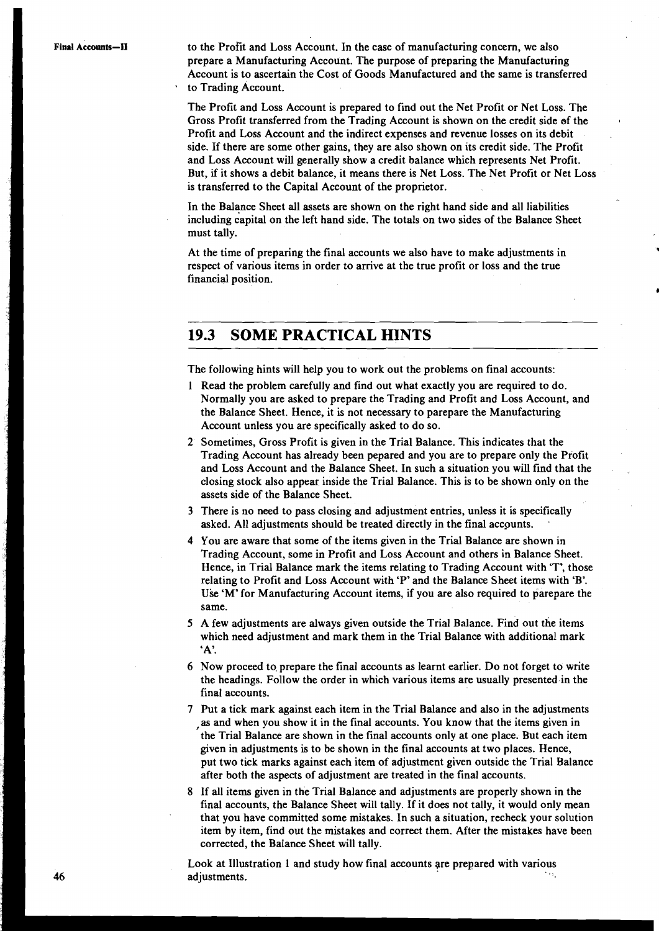Final Accounts-II **to the Profit and Loss Account.** In the case of manufacturing concern, we also prepare a Manufacturing Account. The purpose of preparing the Manufacturing Account is to ascertain the Cost of Goods Manufactured and the same is transferred to Trading Account.

> The Profit and Loss Account is prepared to find out the Net Profit or Net Loss. The Gross Profit transferred from the Trading Account is shown on the credit side of the , Profit and Loss Account and the indirect expenses and revenue losses on its debit side. If there are some other gains, they are also shown on its credit side. The Profit and Loss Account will generally show a credit balance which represents Net Profit. But, if it shows a debit balance, it means there is Net Loss. The Net Profit or Net Loss is transferred to the Capital Account of the proprietor.

In the Balance Sheet all assets are shown on the right hand side and all liabilities including capital on the left hand side. The totals on two sides of the Balance Sheet must tally.

At the time of preparing the final accounts we also have to make adjustments in respect of various items in order to arrive at the true profit or loss and the true financial position.

## **19.3 SOME PRACTICAL HINTS**

The following hints will help you to work out the problems on final accounts:

- 1 Read the problem carefully and find out what exactly you are required to do. Normally you are asked to prepare the Trading and Profit and Loss Account, and the Balance Sheet. Hence, it is not necessary to parepare the Manufacturing Account unless you are specifically asked to do so.
- 2 Sometimes, Gross Profit is given in the Trial Balance. This indicates that the Trading Account has already been pepared and you are to prepare only the Profit and Loss Account and the Balance Sheet. In such a situation you will find that the closing stock also appear inside the Trial Balance. This is to be shown only on the assets side of the Balance Sheet.
- 3 There is no need to pass closing and adjustment entries, unless it is specifically asked. All adjustments should be treated directly in the final accounts. .
- 4 You are aware that some of the items given in the Trial Balance are shown in Trading Account, some in Profit and Loss Account and others in Balance Sheet. Hence, in Trial Balance mark the items relating to Trading Account with 'T', those relating to Profit and Loss Account with 'P' and the Balance Sheet items with 'B'. Use 'M' for Manufacturing Account items, if you are also required to parepare the same.
- **5** A few adjustments are always given outside the Trial Balance. Find out the items which need adjustment and mark them in the Trial Balance with additional mark 'A'.
- 6 Now proceed to, prepare the final accounts as learnt earlier. Do not forget to write the headings. Follow the order in which various items are usually presented-in the final accounts.
- 7 Put a tick mark against each item in the Trial Balance and also in the adjustments as and when you show it in the final accounts. You know that the items given in the Trial Balance are shown in the final accounts only at one place. But each item given in adjustments is to be shown in the final accounts at two places. Hence, put two tick marks against each item of adjustment given outside the Trial Balance after both the aspects of adjustment are treated in the final accounts.
- 8 If all items given in the Trial Balance and adjustments are properly shown in the final accounts, the Balance Sheet will tally. If it does not tally, it would only mean that you have committed some mistakes. In such a situation, recheck your solution item by item, find out the mistakes and correct them. After the mistakes have been corrected, the Balance Sheet will tally.

Look at Illustration 1 and study how final accounts qre prepared with various adjustments.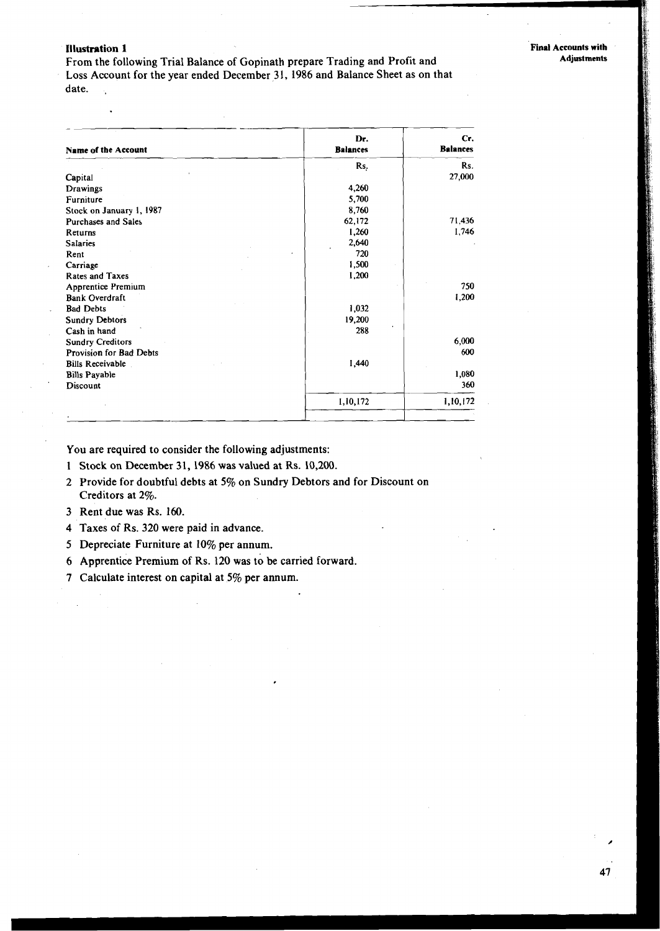#### **Illustration 1** Final Accounts with

 $\overline{a}$ 

From the following Trial Balance of Gopinath prepare Trading and Profit and Loss Account for the year ended December 31, 1986 and Balance Sheet as on that date.

47

| Name of the Account       | Dr.<br><b>Balances</b> | Cr.<br><b>Balances</b> |
|---------------------------|------------------------|------------------------|
|                           | Rs.                    | Rs.                    |
| Capital                   |                        | 27,000                 |
| Drawings                  | 4,260                  |                        |
| Furniture                 | 5,700                  |                        |
| Stock on January 1, 1987  | 8,760                  |                        |
| Purchases and Sales       | 62,172                 | 71,436                 |
| Returns                   | 1,260                  | 1,746                  |
| <b>Salaries</b>           | 2,640                  |                        |
| Rent                      | 720                    |                        |
| Carriage                  | 1,500                  |                        |
| <b>Rates and Taxes</b>    | 1,200                  |                        |
| <b>Apprentice Premium</b> |                        | 750                    |
| <b>Bank Overdraft</b>     |                        | 1,200                  |
| <b>Bad Debts</b>          | 1,032                  |                        |
| <b>Sundry Debtors</b>     | 19,200                 |                        |
| Cash in hand              | 288                    |                        |
| <b>Sundry Creditors</b>   |                        | 6,000                  |
| Provision for Bad Debts   |                        | 600                    |
| <b>Bills Receivable</b>   | 1,440                  |                        |
| <b>Bills Payable</b>      |                        | 1,080                  |
| Discount                  |                        | 360                    |
|                           | 1,10,172               | 1,10,172               |
|                           |                        |                        |

You are required to consider the following adjustments:

- 1 Stock on December 31, 1986 was valued at Rs. 10,200.
- 2 Provide for doubtful debts at 5% on Sundry Debtors and for Discount on Creditors at 2%.
- 3 Rent due was Rs. 160.
- 4 Taxes of Rs. 320 were paid in advance.
- 5 Depreciate Furniture at 10% per annum.
- 6 Apprentice Premium of Rs. 120 was **to** be carried forward.
- 7 Calculate interest on capital at 5% per annum.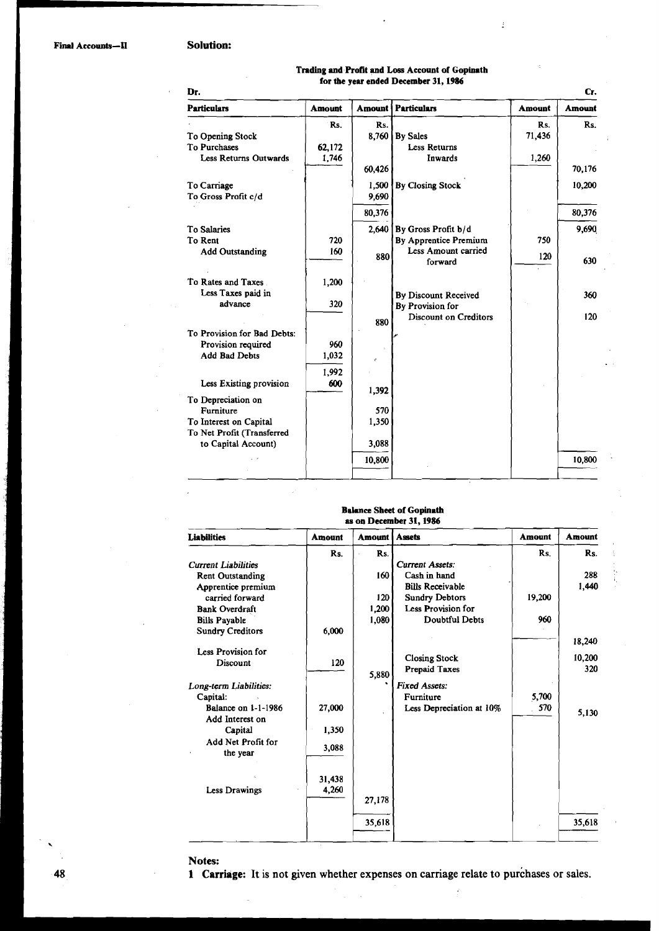#### **Solution:**

| Trading and Profit and Loss Account of Gopinath |  |
|-------------------------------------------------|--|
| for the year ended December 31, 1986            |  |

 $\frac{1}{2}$ 

í

j.

| <b>Amount</b> | Amount | <b>Particulars</b>        | <b>Amount</b> | Amount          | <b>Particulars</b>               |
|---------------|--------|---------------------------|---------------|-----------------|----------------------------------|
|               |        |                           |               |                 |                                  |
| Rs.           | Rs.    |                           | Rs.           | Rs.             |                                  |
|               | 71,436 | $8,760$ By Sales          |               |                 | To Opening Stock<br>To Purchases |
|               | 1,260  | Less Returns<br>Inwards   |               | 62,172<br>1,746 | <b>Less Returns Outwards</b>     |
| 70,176        |        |                           | 60,426        |                 |                                  |
| 10,200        |        | <b>By Closing Stock</b>   | 1,500         |                 | To Carriage                      |
|               |        |                           | 9,690         |                 | To Gross Profit c/d              |
| 80,376        |        |                           | 80,376        |                 |                                  |
| 9,690         |        | 2.640 By Gross Profit b/d |               |                 | To Salaries                      |
|               | 750    | By Apprentice Premium     |               | 720             | To Rent                          |
| 630           | 120    | Less Amount carried       | 880           | 160             | <b>Add Outstanding</b>           |
|               |        | forward                   |               |                 |                                  |
|               |        |                           |               | 1,200           | To Rates and Taxes               |
| 360           |        | By Discount Received      |               |                 | Less Taxes paid in               |
|               |        | By Provision for          |               | 320             | advance                          |
| 120           |        | Discount on Creditors     | 880           |                 |                                  |
|               |        |                           |               |                 | To Provision for Bad Debts:      |
|               |        |                           |               | 960             | Provision required               |
|               |        |                           |               | 1,032           | <b>Add Bad Debts</b>             |
|               |        |                           |               | 1.992           |                                  |
|               |        |                           | 1,392         | 600             | Less Existing provision          |
|               |        |                           |               |                 | To Depreciation on               |
|               |        |                           | 570           |                 | Furniture                        |
|               |        |                           | 1,350         |                 | To Interest on Capital           |
|               |        |                           |               |                 | To Net Profit (Transferred       |
|               |        |                           | 3,088         |                 | to Capital Account)              |
| 10,800        |        |                           | 10,800        |                 |                                  |

# **Blhnee Sheet of Gopinath**

| Liabilities                | <b>Amount</b> | Amount | <b>Assets</b>            | <b>Amount</b> | <b>Amount</b> |
|----------------------------|---------------|--------|--------------------------|---------------|---------------|
|                            |               |        |                          |               |               |
|                            | Rs.           | Rs.    |                          | Rs.           | Rs.           |
| <b>Current Liabilities</b> |               |        | <b>Current Assets:</b>   |               |               |
| <b>Rent Outstanding</b>    |               | 160    | Cash in hand             |               | 288           |
| Apprentice premium         |               |        | <b>Bills Receivable</b>  |               | 1,440         |
| carried forward            |               | 120    | <b>Sundry Debtors</b>    | 19,200        |               |
| <b>Bank Overdraft</b>      |               | 1,200  | Less Provision for       |               |               |
| <b>Bills Payable</b>       |               | 1,080  | <b>Doubtful Debts</b>    | 960           |               |
| <b>Sundry Creditors</b>    | 6,000         |        |                          |               |               |
| Less Provision for         |               |        |                          |               | 18,240        |
| Discount                   | 120           |        | <b>Closing Stock</b>     |               | 10,200        |
|                            |               |        | <b>Prepaid Taxes</b>     |               | 320           |
|                            |               | 5,880  |                          |               |               |
| Long-term Liabilities:     |               |        | <b>Fixed Assets:</b>     |               |               |
| Capital:                   |               |        | Furniture                | 5,700         |               |
| <b>Balance on 1-1-1986</b> | 27,000        |        | Less Depreciation at 10% | 570           | 5,130         |
| Add Interest on            |               |        |                          |               |               |
| Capital                    | 1,350         |        |                          |               |               |
| Add Net Profit for         | 3,088         |        |                          |               |               |
| the year                   |               |        |                          |               |               |
|                            |               |        |                          |               |               |
|                            | 31,438        |        |                          |               |               |
| <b>Less Drawings</b>       | 4,260         |        |                          |               |               |
|                            |               | 27,178 |                          |               |               |
|                            |               |        |                          |               |               |
|                            |               | 35,618 |                          |               | 35,618        |
|                            |               |        |                          |               |               |

#### Notes:

1 Carriage: It is not given whether expenses on carriage relate to purchases or sales.

 $\overline{a}$ 

 $\hat{\mathcal{L}}$ 

 $-48$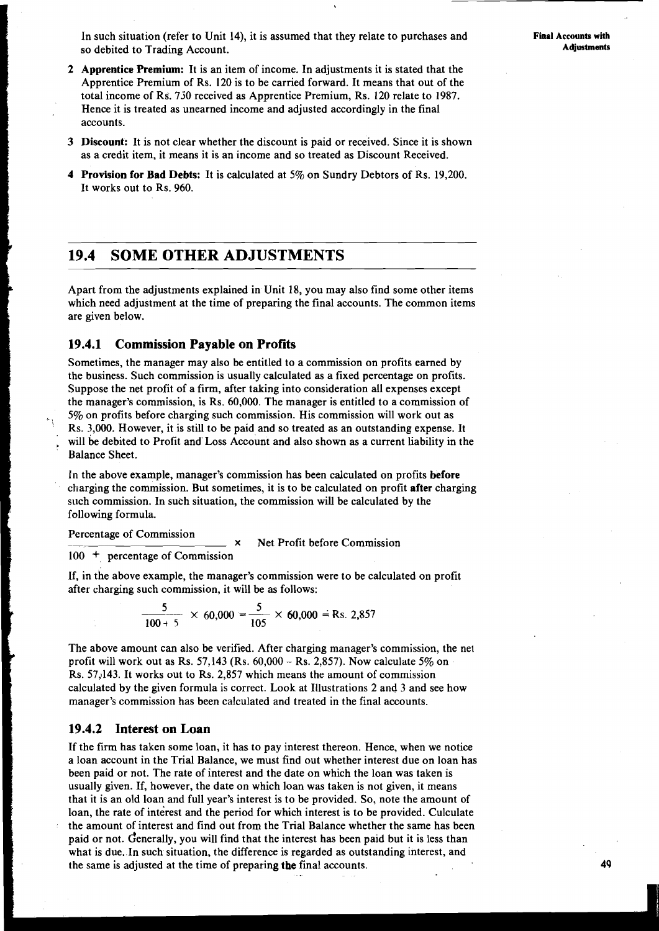In such situation (refer to Unit 14), it is assumed that they relate to purchases and **Final Accounts with** <br>**Adjustments** Adjustments so debited to Trading Account.

- **2 Apprentice Premium:** It is an item of income. In adjustments it is stated that the Apprentice Premium of Rs. 120 is to be carried forward. It means that out of the total income of RS. 730 received as Apprentice Premium, Rs. 120 relate to 1987. Hence it is treated as unearned income and adjusted accordingly in the final accounts.
- **3 Discount:** It is not clear whether the discount is paid or received. Since it is shown as a credit item, it means it is an income and so treated as Discount Received.
- **4 Provision for Bad Debts:** It is calculated at 5% on Sundry Debtors of Rs. 19,200. It works out to Rs. 960.

## **19.4 SOME OTHER ADJUSTMENTS**

Apart from the adjustments explained in Unit 18, you may also find some other items which need adjustment at the time of preparing the final accounts. The common items are given below.

#### **19.4.1 Commission Payable on Profits**

Sometimes, the manager may also be entitled to a commission on profits earned by the business. Such commission is usually calculated as a fixed percentage on profits. Suppose the net profit of a firm, after taking into consideration all expenses except the manager's commission, is Rs. 60,000. The manager is entitled to a commission of 5% on profits before charging such commission. His commission will work out as Rs. 3,000. However, it is still to be paid and so treated as an outstanding expense. It will be debited to Profit and' Loss Account and also shown as a current liability in the Balance Sheet.

in the above example, manager's commission has been calculated on profits **before**  charging the commission. But sometimes, it is to be calculated on profit **after** charging such commission. In such situation, the commission will be calculated by the following formula.

Percentage of Commission<br>
x 
Net Profit before Commission

#### 100 + percentage of Commission

If, in the above example, the manager's commission were to be calculated on profit after charging such commission, it will be as follows:<br> $\frac{5}{100+5} \times 60,000 = \frac{5}{105} \times 60,000 = \text{Rs. } 2,857$ after charging such commission, it will be as follows:

$$
\frac{5}{100+5} \times 60,000 = \frac{5}{105} \times 60,000 = \text{Rs. } 2,857
$$

The above amount can also be verified. After charging manager's commission, the net profit will work out as Rs.  $57,143$  (Rs.  $60,000 -$ Rs. 2,857). Now calculate  $5\%$  on Rs. 57,143. It works out to Rs. 2,857 which means the amount of commission calculated by the given formula is correct. Look at Illustrations 2 and 3 and see how manager's commission has been calculated and treated in the final accounts.

#### **19.4.2 Interest on Loan**

If the firm has taken some loan, it has to pay interest thereon. Hence, when we notice a loan account in the Trial Balance, we must find out whether interest due on loan has been paid or not. The rate of interest and the date on which the loan was taken is usually given. If, however, the date on which loan was taken is not given, it means that it is an old loan and full year's interest is to be provided. So, note the amount of loan, the rate of interest and the period for which interest is to be provided. Culculate the amount of interest and find out from the Trial Balance whether the same has been paid or not. Generally, you will find that the interest has been paid but it is less than what is due. In such situation, the difference is regarded as outstanding interest, and the same is adjusted at the time of preparing **the** final accounts.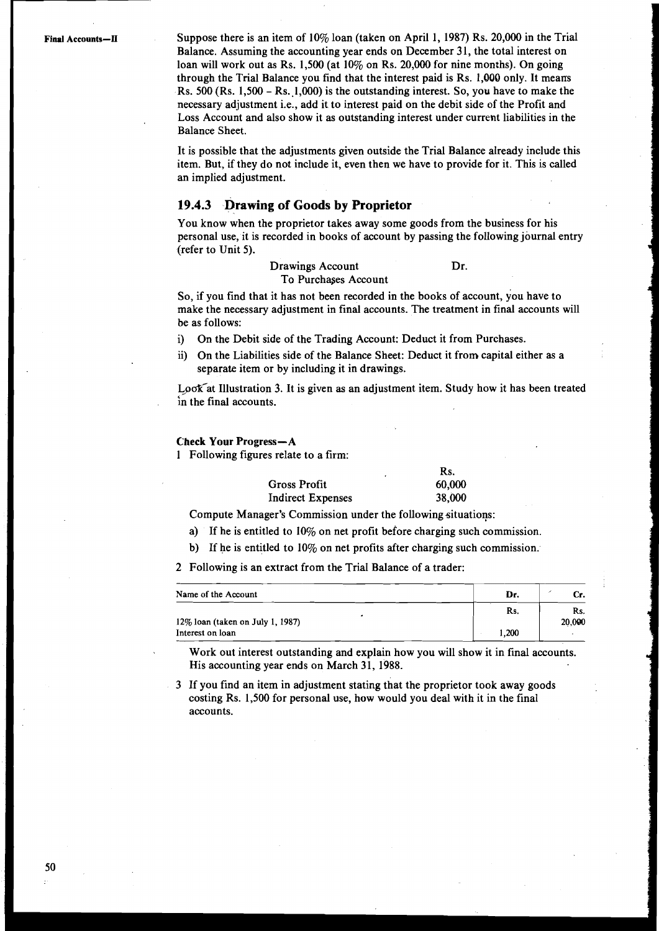**Final Accounts-11** Suppose there is an item of 10% loan (taken on April 1, 1987) Rs. 20,000 in the Trial Balance. Assuming the accounting year ends on December 31, the total interest on loan will work out as Rs. 1,500 (at 10% on Rs. 20,000 for nine months). On going through the Trial Balance you find that the interest paid is Rs. **1,000** only. It means Rs.  $500$  (Rs. 1,500 – Rs. 1,000) is the outstanding interest. So, you have to make the necessary adjustment i.e., add it to interest paid on the debit side of the Profit and Loss Account and also show it as outstanding interest under current liabilities in the Balance Sheet.

> It is possible that the adjustments given outside the Trial Balance already include this item. But, if they do not include it, even then we have to provide for it. This is called an implied adjustment.

#### **19.4.3 Drawing of Goods by Proprietor**

You know when the proprietor takes away some goods from the business for his personal use, it is recorded in books of account by passing the following journal entry (refer to Unit 5).

#### Drawings Account Dr. To Purchases Account

So, if you find that it has not been recorded in the books of account, you have to make the necessary adjustment in final accounts. The treatment in final accounts will be as follows:

i) On the Debit side of the Trading Account: Deduct it from Purchases.

ii) On the Liabilities side of the Balance Sheet: Deduct it from capital either as a separate item or by including it in drawings.

Look at Illustration 3. It is given as an adjustment item. Study how it has been treated in the final accounts.

#### Check Your Progress-A

1 Following figures relate to a firm:

|                          | Rs.    |
|--------------------------|--------|
| <b>Gross Profit</b>      | 60,000 |
| <b>Indirect Expenses</b> | 38,000 |

Compute Manager's Commission under the following situations:

- a) If he is entitled to 10% on net profit before charging such commission.
- b) If he is entitled to 10% on net profits after charging such commission.

2 Following is an extract from the Trial Balance of a trader:

| Name of the Account                 | Dr.   |               |
|-------------------------------------|-------|---------------|
| $12\%$ loan (taken on July 1, 1987) | Rs.   | Rs.<br>20,000 |
| Interest on loan                    | 1,200 |               |

Work out interest outstanding and explain how you will show it in final accounts. His accounting year ends on March 31, 1988.

3 If you find an item in adjustment stating that the proprietor took away goods costing Rs. 1,500 for personal use, how would you deal with it in the final accounts.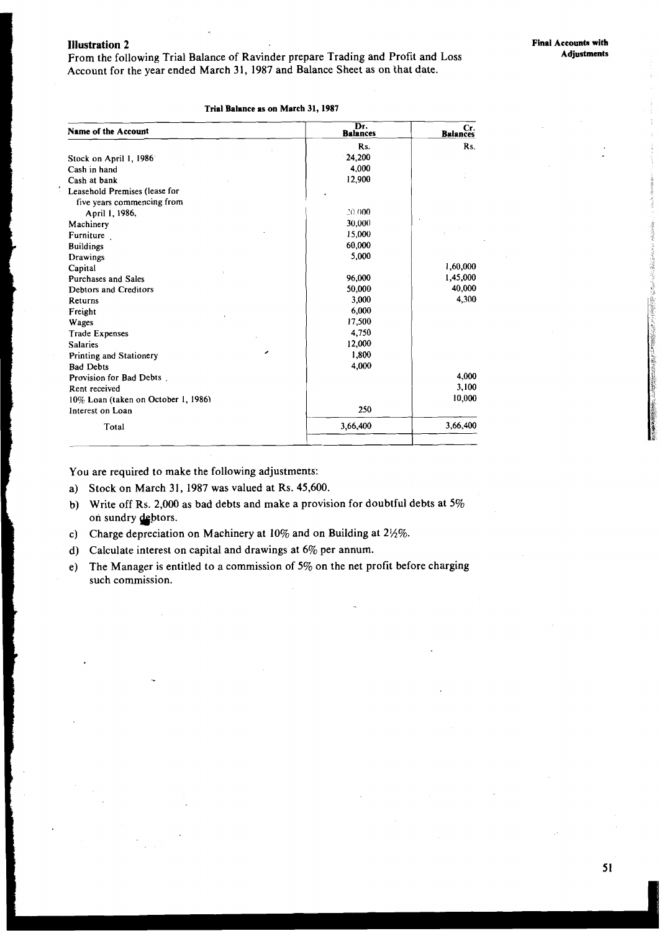#### Illustration 2

From the following Trial Balance of Ravinder prepare Trading and Profit and Loss Account for the year ended March 31, 1987 and Balance Sheet as on that date.

| Name of the Account                 | Dr.<br><b>Balances</b> | Cr.<br>Balances |
|-------------------------------------|------------------------|-----------------|
|                                     | Rs.                    | Rs.             |
| Stock on April 1, 1986              | 24,200                 |                 |
| Cash in hand                        | 4,000                  |                 |
| Cash at bank                        | 12,900                 |                 |
| Leasehold Premises (lease for       |                        |                 |
| five years commencing from          |                        |                 |
| April 1, 1986,                      | 20.000                 |                 |
| Machinery                           | 30,000                 |                 |
| Furniture                           | 15,000                 |                 |
| <b>Buildings</b>                    | 60,000                 |                 |
| Drawings                            | 5,000                  |                 |
| Capital                             |                        | 1,60,000        |
| <b>Purchases and Sales</b>          | 96,000                 | 1,45,000        |
| <b>Debtors and Creditors</b>        | 50,000                 | 40,000          |
| Returns                             | 3,000                  | 4,300           |
| Freight                             | 6,000                  |                 |
| Wages                               | 17,500                 |                 |
| <b>Trade Expenses</b>               | 4,750                  |                 |
| <b>Salaries</b>                     | 12,000                 |                 |
| Printing and Stationery             | 1,800                  |                 |
| <b>Bad Debts</b>                    | 4,000                  |                 |
| Provision for Bad Debts.            |                        | 4,000           |
| Rent received                       |                        | 3,100           |
| 10% Loan (taken on October 1, 1986) |                        | 10,000          |
| Interest on Loan                    | 250                    |                 |
| Total                               | 3,66,400               | 3,66,400        |

#### **Trial Balance as on March 31, 1987**

You are required to make the following adjustments:

a) Stock on March 31, 1987 was valued at Rs. 45,600.

- b) Write off Rs. 2,000 as bad debts and make a provision for doubtful debts at  $5\%$ on sundry debtors.
- c) Charge depreciation on Machinery at 10% and on Building at 2%%.
- d) Calculate interest on capital and drawings at 6% per annurn.
- e) The Manager is entitled to a commission of **5%** on the net profit before charging such commission.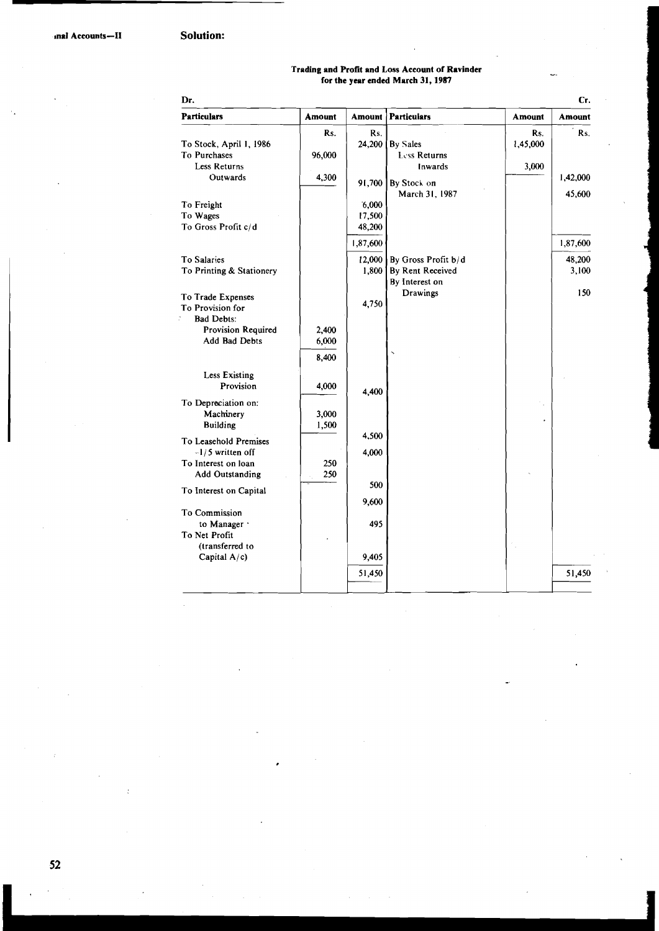# **Trading and Profit and Loss Account of Ravinder**<br>for the year ended March 31, 1987

| Dr.                      |               |               |                     |               | Cr.           |
|--------------------------|---------------|---------------|---------------------|---------------|---------------|
| <b>Particulars</b>       | <b>Amount</b> | <b>Amount</b> | <b>Particulars</b>  | <b>Amount</b> | <b>Amount</b> |
|                          | Rs.           | Rs.           |                     | Rs.           | Rs.           |
| To Stock, April 1, 1986  |               | 24,200        | By Sales            | 1,45,000      |               |
| To Purchases             | 96,000        |               | Less Returns        |               |               |
| Less Returns             |               |               | Inwards             | 3,000         |               |
| Outwards                 | 4,300         | 91,700        | By Stock on         |               | 1,42,000      |
|                          |               |               | March 31, 1987      |               | 45,600        |
| To Freight               |               | 6,000         |                     |               |               |
| To Wages                 |               | 17,500        |                     |               |               |
| To Gross Profit c/d      |               | 48,200        |                     |               |               |
|                          |               | 1,87,600      |                     |               | 1,87,600      |
| <b>To Salaries</b>       |               | 12,000        | By Gross Profit b/d |               | 48,200        |
| To Printing & Stationery |               | 1,800         | By Rent Received    |               | 3,100         |
|                          |               |               | By Interest on      |               |               |
| To Trade Expenses        |               |               | Drawings            |               | 150           |
| <b>To Provision for</b>  |               | 4,750         |                     |               |               |
| <b>Bad Debts:</b>        |               |               |                     |               |               |
| Provision Required       | 2,400         |               |                     |               |               |
| Add Bad Debts            | 6,000         |               |                     |               |               |
|                          | 8,400         |               |                     |               |               |
|                          |               |               |                     |               |               |
| <b>Less Existing</b>     |               |               |                     |               |               |
| Provision                | 4,000         | 4,400         |                     |               |               |
| To Depreciation on:      |               |               |                     |               |               |
| Machinery                | 3,000         |               |                     |               |               |
| <b>Building</b>          | 1,500         |               |                     |               |               |
| To Leasehold Premises    |               | 4,500         |                     |               |               |
| $-1/5$ written off       |               | 4,000         |                     |               |               |
| To Interest on loan      | 250           |               |                     |               |               |
| <b>Add Outstanding</b>   | 250           |               |                     |               |               |
| To Interest on Capital   |               | 500           |                     |               |               |
|                          |               | 9,600         |                     |               |               |
| <b>To Commission</b>     |               |               |                     |               |               |
| to Manager               |               | 495           |                     |               |               |
| To Net Profit            |               |               |                     |               |               |
| (transferred to          |               |               |                     |               |               |
| Capital A/c)             |               | 9,405         |                     |               |               |
|                          |               | 51,450        |                     |               | 51,450        |
|                          |               |               |                     |               |               |

52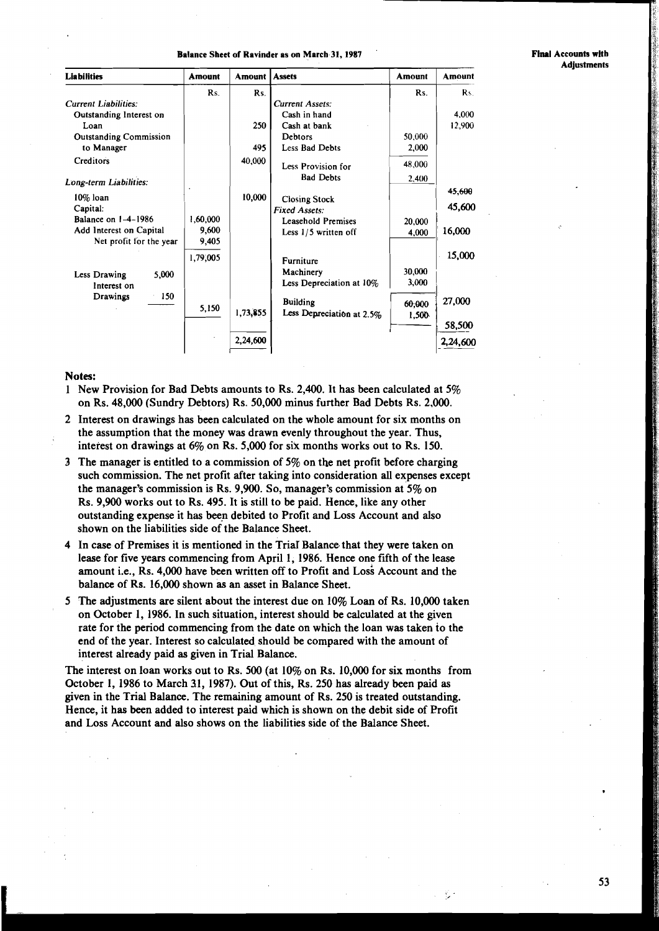#### **Balance Sheet of Ravinder as on March 31,1987** '

**Final Accounts with Adjustments** 

| <b>Liabilities</b>            | <b>Amount</b> | <b>Amount</b> | <b>Assets</b>             | Amount | Amount    |
|-------------------------------|---------------|---------------|---------------------------|--------|-----------|
|                               | Rs.           | Rs.           |                           | Rs.    | <b>Rs</b> |
| <b>Current Liabilities:</b>   |               |               | <b>Current Assets:</b>    |        |           |
| Outstanding Interest on       |               |               | Cash in hand              |        | 4.000     |
| Loan                          |               | 250           | Cash at bank              |        | 12,900    |
| <b>Outstanding Commission</b> |               |               | Debtors                   | 50,000 |           |
| to Manager                    |               | 495           | Less Bad Debts            | 2,000  |           |
| Creditors                     |               | 40,000        | Less Provision for        | 48,000 |           |
| Long-term Liabilities:        |               |               | <b>Bad Debts</b>          | 2,400  |           |
|                               |               |               |                           |        | 45,600    |
| 10% loan                      |               | 10,000        | <b>Closing Stock</b>      |        | 45,600    |
| Capital:                      |               |               | <b>Fixed Assets:</b>      |        |           |
| Balance on $1-4-1986$         | 1,60,000      |               | <b>Leasehold Premises</b> | 20,000 |           |
| Add Interest on Capital       | 9,600         |               | Less 1/5 written off      | 4,000  | 16,000    |
| Net profit for the year       | 9,405         |               |                           |        |           |
|                               | 1,79,005      |               | <b>Furniture</b>          |        | 15,000    |
| 5,000                         |               |               | Machinery                 | 30,000 |           |
| Less Drawing<br>Interest on   |               |               | Less Depreciation at 10%  | 3,000  |           |
| 150<br>Drawings               |               |               |                           |        |           |
|                               | 5,150         |               | <b>Building</b>           | 60,000 | 27,000    |
|                               |               | 1,73,855      | Less Depreciation at 2.5% | 1,500  |           |
|                               |               |               |                           |        | 58,500    |
|                               |               | 2,24,600      |                           |        | 2,24,600  |

#### Notes:

- 1 New Provision for Bad Debts amounts to Rs. 2,400. It has been calculated at 5% on Rs. 48,000 (Sundry Debtors) Rs. 50,000 minus further Bad Debts Rs. 2,000.
- 2 Interest on drawings has been calculated on the whole amount for six months on the assumption that the money was drawn evenly throughout the year. Thus, interest on drawings at 6% on Rs. 5,000 for sik months works out to Rs. 150.
- 3 The manager is entitled to a commission of 5% on the net profit before charging such commission. The net profit after taking into consideration all expenses except the manager's commission is Rs. 9,900. So, manager's commission at 5% on Rs. 9,900 works out to Rs. 495. It is still to be paid. Hence, like any other outstanding expense it has been debited to Profit and Loss Account and also shown on the liabilities side of the Balance Sheet.
- 4 In case of Premises it is mentioned in the TriaI Balance that they were taken on lease for five years commencing from April 1, 1986. Hence one fifth of the lease amount i.e., Rs. 4,000 have been written off to Profit and Loss Account and the balance of Rs. 16,000 shown as an asset in Balance Sheet.
- 5 The adjustments are silent about the interest due on 10% Loan of Rs. 10,000 taken on October 1, 1986. In such situation, interest should be calculated at the given rate for the period commencing from the date on which the loan was taken io the end of the year. Interest so calculated should be compared with the amount of interest already paid as given in Trial Balance.

The interest on loan works out to Rs. 500 (at 10% on Rs. 10,000 for six months from October 1, 1986 to March 31, 1987). Out of this, Rs. 250 has already been paid as given in the Trial Balance. The remaining amount of Rs. 250 is treated outstanding. Hence, it has been added to interest paid which is shown on the debit side of Profit and Loss Account and also shows on the liabilities side of the Balance Sheet.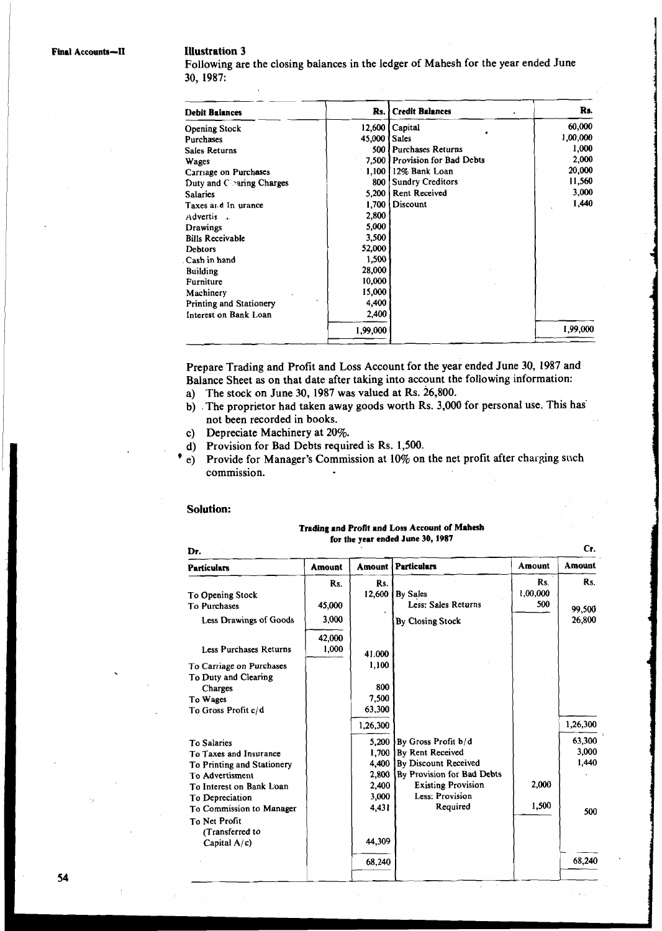#### **Illustration 3**

Following are the closing balances in the ledger of Mahesh for the year ended June **30, 1987:** 

| Debit Balances             | Rs. l    | <b>Credit Balances</b>   | Rs.      |
|----------------------------|----------|--------------------------|----------|
| <b>Opening Stock</b>       | 12,600   | Capital                  | 60,000   |
| Purchases                  | 45,000   | <b>Sales</b>             | 1,00,000 |
| Sales Returns              | 500 l    | <b>Purchases Returns</b> | 1,000    |
| Wages                      | 7,500 I  | Provision for Bad Debts  | 2,000    |
| Carriage on Purchases      | 1,100    | 12% Bank Loan            | 20,000   |
| Duty and $C$ aring Charges | 800      | <b>Sundry Creditors</b>  | 11,560   |
| <b>Salaries</b>            | 5,200    | <b>Rent Received</b>     | 3,000    |
| Taxes and In urance        | 1,700    | Discount                 | 1,440    |
| Advertis<br>$\sim$         | 2,800    |                          |          |
| Drawings                   | 5,000    |                          |          |
| <b>Bills Receivable</b>    | 3,500    |                          |          |
| <b>Debtors</b>             | 52,000   |                          |          |
| Cash in hand               | 1,500    |                          |          |
| <b>Building</b>            | 28,000   |                          |          |
| Furniture                  | 10,000   |                          |          |
| Machinery                  | 15,000   |                          |          |
| Printing and Stationery    | 4,400    |                          |          |
| Interest on Bank Loan      | 2,400    |                          |          |
|                            | 1,99,000 |                          | 1,99,000 |

Prepare Trading and Profit and Loss Account for the year ended June **30, 1987** and Balance Sheet as on that date after taking into account the following information:

- a) The stock on June **30, 1987** was valued at Rs. **26,800.**
- b) .The proprietor had taken away goods worth Rs. **3,000** for personal use. This has' not been recorded in books.

- c) Depreciate Machinery at **20%.**
- e) Provide for Manager's Commission at 10% on the net profit after charging such commission.

#### **Solution:**

#### Trading and Profit and Loss Account of Mahesh for the year ended June 30,1987

| <b>Solution:</b>                                                                                                                                                                                             |                                   |                                                             |                                                                                                                                                           |                        |                                 |  |
|--------------------------------------------------------------------------------------------------------------------------------------------------------------------------------------------------------------|-----------------------------------|-------------------------------------------------------------|-----------------------------------------------------------------------------------------------------------------------------------------------------------|------------------------|---------------------------------|--|
|                                                                                                                                                                                                              |                                   |                                                             | Trading and Profit and Loss Account of Mahesh<br>for the year ended June 30, 1987                                                                         |                        |                                 |  |
| Dr.                                                                                                                                                                                                          |                                   |                                                             |                                                                                                                                                           |                        | Cr.                             |  |
| <b>Particulars</b>                                                                                                                                                                                           | Amount                            | Amount                                                      | <b>Particulars</b>                                                                                                                                        | Amount                 | Amount                          |  |
| To Opening Stock<br>To Purchases<br>Less Drawings of Goods                                                                                                                                                   | R <sub>s</sub><br>45,000<br>3,000 | Rs.<br>12,600                                               | By Sales<br>Less: Sales Returns<br>By Closing Stock                                                                                                       | Rs.<br>1,00,000<br>500 | Rs.<br>99,500<br>26,800         |  |
| Less Purchases Returns<br>To Carriage on Purchases<br>To Duty and Clearing<br>Charges<br>To Wages<br>To Gross Profit c/d                                                                                     | 42,000<br>1,000                   | 41.000<br>1,100<br>800<br>7,500<br>63,300<br>1,26,300       |                                                                                                                                                           |                        | 1,26,300                        |  |
| <b>To Salaries</b><br>To Taxes and Insurance<br>To Printing and Stationery<br>To Advertisment<br>To Interest on Bank Loan<br>To Depreciation<br>To Commission to Manager<br>To Net Profit<br>(Transferred to |                                   | 5,200<br>1,700<br>4,400<br>2,800<br>2,400<br>3,000<br>4,431 | By Gross Profit b/d<br>By Rent Received<br>By Discount Received<br>By Provision for Bad Debts<br><b>Existing Provision</b><br>Less: Provision<br>Required | 2.000<br>1,500         | 63,300<br>3,000<br>1,440<br>500 |  |
| Capital $A/c$ )                                                                                                                                                                                              |                                   | 44,309                                                      |                                                                                                                                                           |                        |                                 |  |
|                                                                                                                                                                                                              |                                   | 68,240                                                      |                                                                                                                                                           |                        | 68,240                          |  |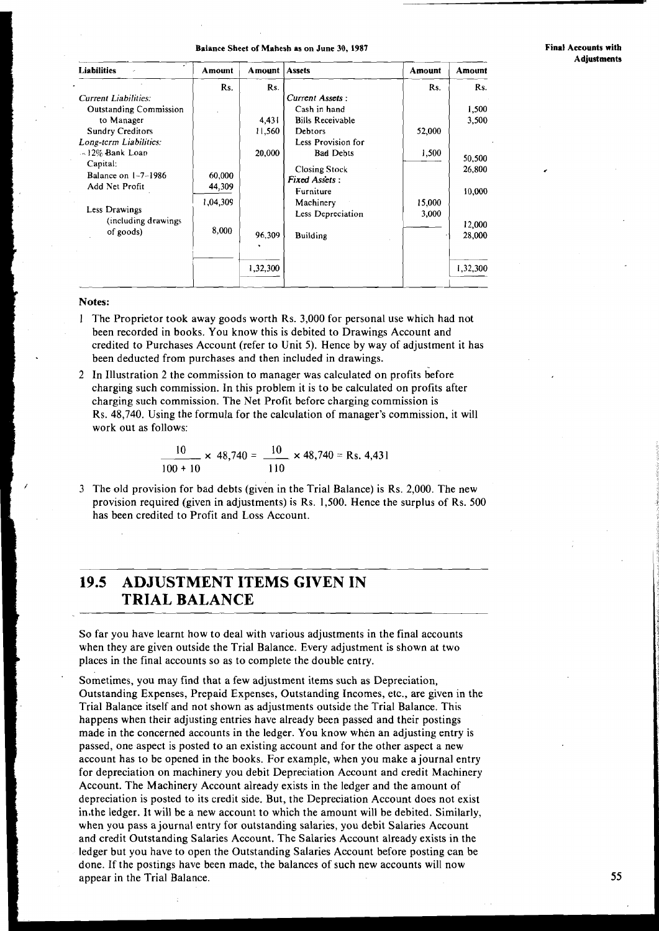**Final Accounts with Adjustments** 

| <b>Liabilities</b><br>×       | Amount   | <b>Amount</b> Assets |                         | Amount | Amount           |
|-------------------------------|----------|----------------------|-------------------------|--------|------------------|
|                               | Rs.      | Rs.                  |                         | Rs.    | Rs.              |
| <b>Current Liabilities:</b>   |          |                      | Current Assets:         |        |                  |
| <b>Outstanding Commission</b> |          |                      | Cash in hand            |        | 1,500            |
| to Manager                    |          | 4,431                | <b>Bills Receivable</b> |        | 3,500            |
| <b>Sundry Creditors</b>       |          | 11,560               | Debtors                 | 52,000 |                  |
| Long-term Liabilities:        |          |                      | Less Provision for      |        |                  |
| $\sim$ 12% Bank Loan          |          | 20,000               | <b>Bad Debts</b>        | 1,500  |                  |
| Capital:                      |          |                      | <b>Closing Stock</b>    |        | 50,500<br>26,800 |
| Balance on 1-7-1986           | 60,000   |                      | <b>Fixed Assets:</b>    |        |                  |
| Add Net Profit                | 44,309   |                      | Furniture               |        | 10,000           |
|                               | 1,04,309 |                      | Machinery               | 15,000 |                  |
| Less Drawings                 |          |                      | Less Depreciation       | 3,000  |                  |
| (including drawings)          |          |                      |                         |        | 12,000           |
| of goods)                     | 8,000    | 96,309               | <b>Building</b>         |        | 28,000           |
|                               |          |                      |                         |        |                  |
|                               |          | 1,32,300             |                         |        | 1,32,300         |
|                               |          |                      |                         |        |                  |

#### **Notes:**

- 1 The Proprietor took away goods worth Rs. 3,000 for personal use which had not been recorded in books. You know this is debited to Drawings Account and credited to Purchases Account (refer to Unit 5). Hence by way of adjustment it has been deducted from purchases and then included in drawings.
- 2 In Illustration 2 the commission to manager was calculated on profits before charging such commission. In this problem it is to be calculated on profits after charging such commission. The Net Profit before charging commission is Rs. 48,740. Using the formula for the calculation of manager's commission, it will work out as follows: commission. In this problem it is to be calculated<br>commission. The Net Profit before charging comming the formula for the calculation of manager's c<br>llows:<br> $\frac{10}{100 + 10} \times 48,740 = \frac{10}{110} \times 48,740 = \text{Rs. } 4,431$

3 The old provision for bad debts (given in the Trial Balance) is Rs. 2,000. The new provision required (given in adjustments) is Rs. 1,500. Hence the surplus of Rs. 500 has been credited to Profit and Loss Account.

# **19.5 ADJUSTMENT ITEMS GIVEN IN**  <sup>1</sup>**TRIAL BALANCE**

So far you have learnt how to deal with various adjustments in the final accounts when they are given outside the Trial Balance. Every adjustment is shown at two places in the final accounts so as to complete the double entry.

Sometimes, you may find that a few adjustment items such as Depreciation, Outstanding Expenses, Prepaid Expenses, Outstanding Incomes, etc., are given in the Trial Balance itself and not shown as adjustments outside the Trial Balance. This happens when their adjusting entries have already been passed and their postings made in the concerned accounts in the ledger. You know when an adjusting entry is passed, one aspect is posted to an existing account and for the other aspect a new account has to be opened in the books. For example, when you make a journal entry for depreciation on machinery you debit Depreciation Account and credit Machinery Account. The Machinery Account already exists in the ledger and the amount of depreciation is posted to its credit side. But, the Depreciation Account does not exist in the ledger. It will be a new account to which the amount will be debited. Similarly, when you pass a journal entry for outstanding salaries, you debit Salaries Account ! and credit Outstanding Salaries Account. The Salaries Account already exists in the ledger but you have to open the Outstanding Salaries Account before posting can be done. If the postings have been made, the balances of such new accounts will now appear in the Trial Balance.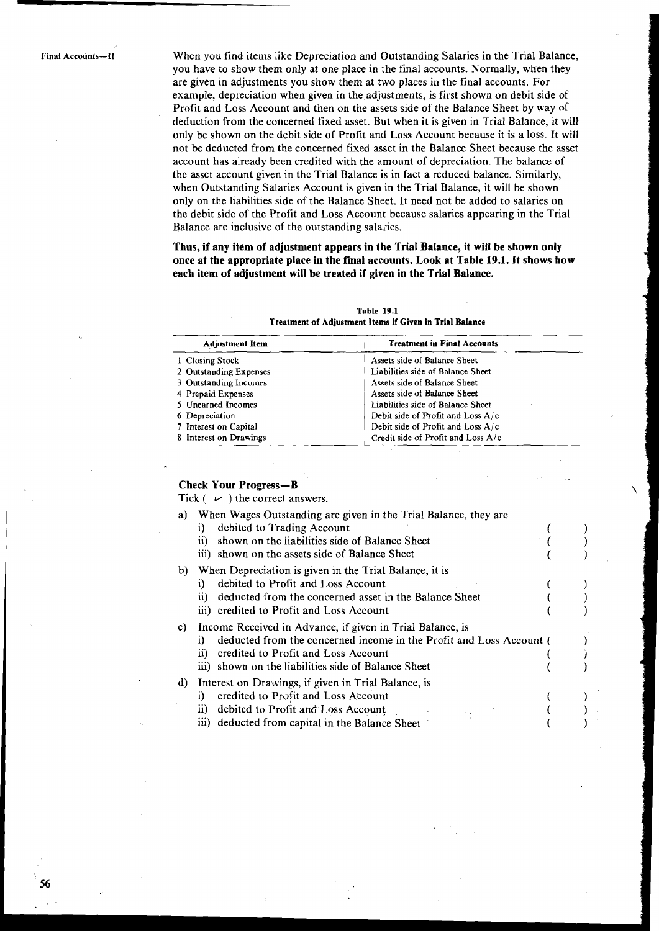**kinal Accounts-11** When you find items like Depreciation and Outstanding Salaries in the Trial Balance, you have to show them only at one place in the final accounts. Normally, when they are given in adjustments you show them at two places in the final accounts. For example, depreciation when given in the adjustments, is first shown on debit side of Profit and Loss Account and then on the assets side of the Balance Sheet by way of deduction from the concerned fixed asset. But when it is given in Trial Balance, it will only be shown on the debit side of Profit and Loss Account because it is a loss. It will not be deducted from the concerned fixed asset in the Balance Sheet because the asset account has already been credited with the amount of depreciation. The balance of the asset account given in the Trial Balance is in fact a reduced balance. Similarly, when Outstanding Salaries Account is given in the Trial Balance, it will be shown only on the liabilities side of the Balance Sheet. It need not be added to salaries on the debit side of the Profit and Loss Account because salaries appearing in the Trial Balance are inclusive of the outstanding salaries.

> **Thus, if any item of adjustment appears in the Trial Balance, it will be shown only once at the appropriate place in the final accounts. Look at Table 19.1. It shows how each item of adjustment will be treated if given in the Trial Balance.**

| Table 19.1<br><b>Treatment of Adjustment Items if Given in Trial Balance</b> |                                      |  |  |
|------------------------------------------------------------------------------|--------------------------------------|--|--|
| <b>Adjustment Item</b>                                                       | <b>Treatment in Final Accounts</b>   |  |  |
| 1 Closing Stock                                                              | Assets side of Balance Sheet         |  |  |
| 2 Outstanding Expenses                                                       | Liabilities side of Balance Sheet    |  |  |
| 3 Outstanding Incomes                                                        | Assets side of Balance Sheet         |  |  |
| 4 Prepaid Expenses                                                           | Assets side of Balance Sheet         |  |  |
| 5 Unearned Incomes                                                           | Liabilities side of Balance Sheet    |  |  |
| 6 Depreciation                                                               | Debit side of Profit and Loss $A/c$  |  |  |
| 7 Interest on Capital                                                        | Debit side of Profit and Loss A/c    |  |  |
| 8 Interest on Drawings                                                       | Credit side of Profit and Loss $A/c$ |  |  |

#### **Table 19.1 Treatment of Adjustment Items if Given in Trial Balance**

#### **Check Your Progress-B**

Tick  $( \nu )$  the correct answers.

- a) When Wages Outstanding are given in the Trial Balance, they are
	- i) debited to Trading Account
	- ii) shown on the liabilities side of Balance Sheet iii) shown on the assets side of Balance Sheet
- b) When Depreciation is given in the Trial Balance, it is
	- i) debited to Profit and Loss Account
	- ii) deducted from the concerned asset in the Balance Sheet
	- iii) credited to Profit and Loss Account

c) Income Received in Advance, if given in Trial Balance, is

- i) deducted from the concerned income in the Profit and Loss Account (ii) credited to Profit and Loss Account
- credited to Profit and Loss Account
- iii) shown on the liabilities side of Balance Sheet
- d) Interest on Drawings, if given in Trial Balance, is
	- i) credited to Profit and Loss Account
	- ii) debited to Profit and Loss Account
	- iii) deducted from capital in the Balance Sheet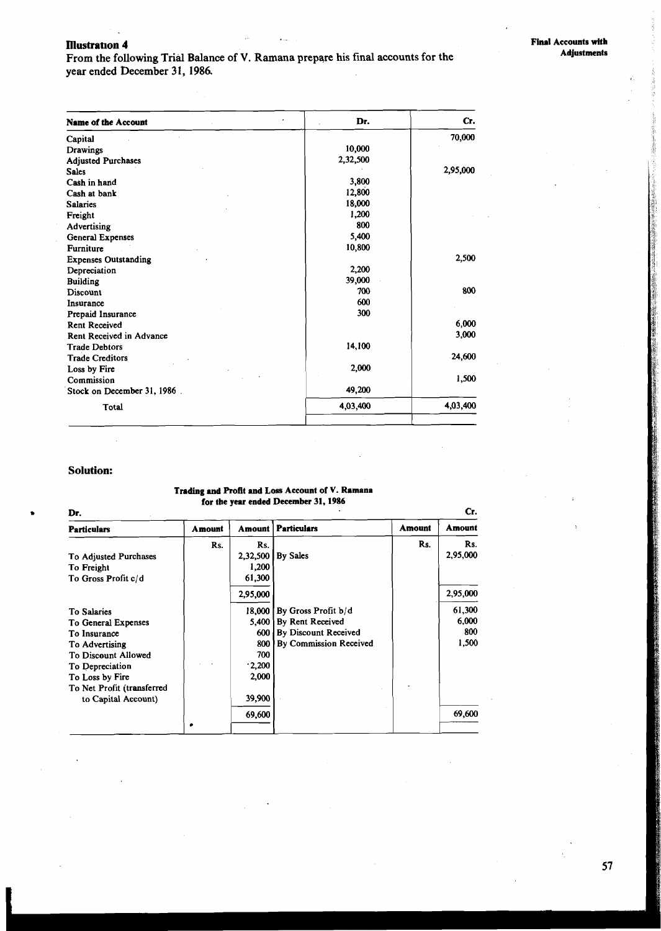#### **Illustration 4**

From the following Trial Balance of V. Ramana prepare his final accounts for the year ended December 31, 1986.

| <b>Name of the Account</b>  | Dr.      | Cr.      |
|-----------------------------|----------|----------|
| Capital                     |          | 70,000   |
| <b>Drawings</b>             | 10,000   |          |
| <b>Adjusted Purchases</b>   | 2,32,500 |          |
| <b>Sales</b>                |          | 2,95,000 |
| Cash in hand                | 3,800    |          |
| Cash at bank                | 12,800   |          |
| <b>Salaries</b>             | 18,000   |          |
| Freight                     | 1,200    |          |
| Advertising                 | 800      |          |
| General Expenses            | 5,400    |          |
| <b>Furniture</b>            | 10,800   |          |
| <b>Expenses Outstanding</b> |          | 2,500    |
| Depreciation                | 2,200    |          |
| <b>Building</b>             | 39,000   |          |
| Discount                    | 700      | 800      |
| Insurance                   | 600      |          |
| Prepaid Insurance           | 300      |          |
| <b>Rent Received</b>        |          | 6,000    |
| Rent Received in Advance    |          | 3,000    |
| <b>Trade Debtors</b>        | 14,100   |          |
| <b>Trade Creditors</b>      |          | 24,600   |
| Loss by Fire                | 2,000    |          |
| Commission                  |          | 1,500    |
| Stock on December 31, 1986. | 49,200   |          |
| Total                       | 4,03,400 | 4,03,400 |

#### **Solution:**

#### **Trading and Profit and Loss Account of V. Ramana for the year ended December 31,1986**

| Cr.<br>Dr.                 |        |          |                        |               |          |
|----------------------------|--------|----------|------------------------|---------------|----------|
| <b>Particulars</b>         | Amount | Amount   | <b>Particulars</b>     | <b>Amount</b> | Amount   |
|                            | Rs.    | Rs.      |                        | Rs.           | Rs.      |
| To Adjusted Purchases      |        | 2,32,500 | By Sales               |               | 2,95,000 |
| To Freight                 |        | 1,200    |                        |               |          |
| To Gross Profit c/d        |        | 61,300   |                        |               |          |
|                            |        | 2,95,000 |                        |               | 2,95,000 |
| To Salaries                |        | 18,000   | By Gross Profit b/d    |               | 61,300   |
| To General Expenses        |        | 5.400    | By Rent Received       |               | 6,000    |
| To Insurance               |        | 600      | By Discount Received   |               | 800      |
| To Advertising             |        | 800      | By Commission Received |               | 1,500    |
| To Discount Allowed        |        | 700      |                        |               |          |
| To Depreciation            |        | $-2,200$ |                        |               |          |
| To Loss by Fire            |        | 2,000    |                        |               |          |
| To Net Profit (transferred |        |          |                        |               |          |
| to Capital Account)        |        | 39,900   |                        |               |          |
|                            |        | 69,600   |                        |               | 69,600   |
|                            | ٠      |          |                        |               |          |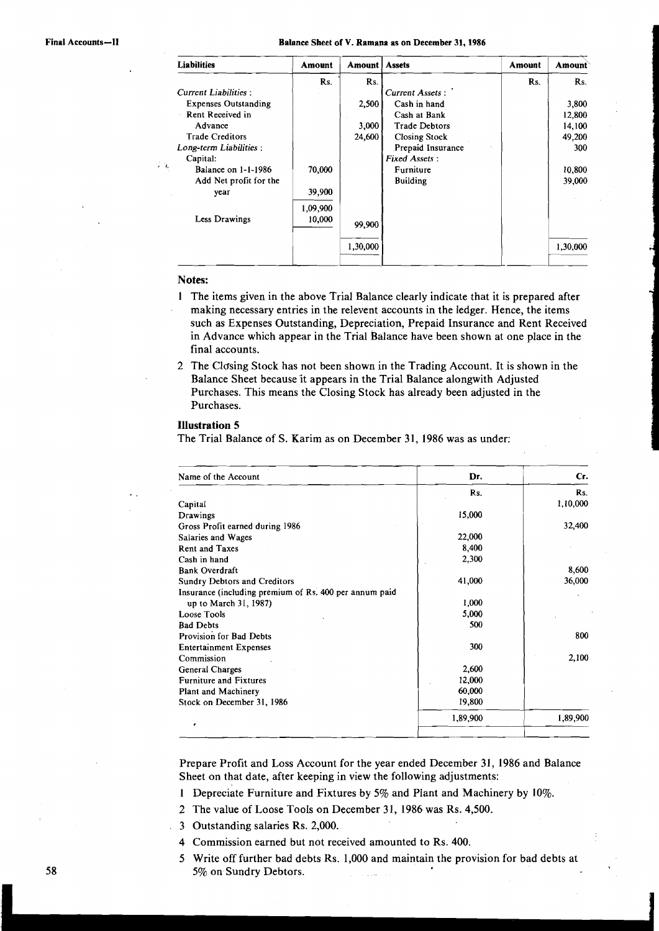#### Final Accounts-II **Balance Sheet of V. Ramana as on December 31, 1986**

| <b>Liabilities</b>          | Amount   | Amount   | <b>Assets</b>        | Amount | Amount   |
|-----------------------------|----------|----------|----------------------|--------|----------|
|                             | Rs.      | Rs.      |                      | Rs.    | Rs.      |
| <b>Current Liabilities:</b> |          |          | Current Assets:      |        |          |
| <b>Expenses Outstanding</b> |          | 2,500    | Cash in hand         |        | 3,800    |
| Rent Received in            |          |          | Cash at Bank         |        | 12,800   |
| Advance                     |          | 3,000    | <b>Trade Debtors</b> |        | 14,100   |
| <b>Trade Creditors</b>      |          | 24,600   | <b>Closing Stock</b> |        | 49,200   |
| Long-term Liabilities :     |          |          | Prepaid Insurance    |        | 300      |
| Capital:                    |          |          | <b>Fixed Assets:</b> |        |          |
| Balance on 1-1-1986         | 70,000   |          | Furniture            |        | 10,800   |
| Add Net profit for the      |          |          | <b>Building</b>      |        | 39,000   |
| year                        | 39,900   |          |                      |        |          |
|                             | 1,09,900 |          |                      |        |          |
| Less Drawings               | 10,000   | 99,900   |                      |        |          |
|                             |          | 1,30,000 |                      |        | 1,30,000 |

#### **Notes:**

- 1 The items given in the above Trial Balance clearly indicate that it is prepared after making necessary entries in the relevent accounts in the ledger. Hence, the items such as Expenses Outstanding, Depreciation, Prepaid Insurance and Rent Received in Advance which appear in the Trial Balance have been shown at one place in the final accounts.
- 2 The Closing Stock has not been shown in the Trading Account. It is shown in the Balance Sheet because it appears in the Trial Balance alongwith Adjusted Purchases. This means the Closing Stock has already been adjusted in the Purchases.

#### **Illustration 5**

The Trial Balance of S. Karim as on December 31, 1986 was as under:

| Name of the Account                                    | Dr.      | Cr.      |
|--------------------------------------------------------|----------|----------|
|                                                        | Rs.      | Rs.      |
| Capital                                                |          | 1,10,000 |
| Drawings                                               | 15,000   |          |
| Gross Profit earned during 1986                        |          | 32,400   |
| Salaries and Wages                                     | 22,000   |          |
| <b>Rent and Taxes</b>                                  | 8,400    |          |
| Cash in hand                                           | 2,300    |          |
| <b>Bank Overdraft</b>                                  |          | 8,600    |
| Sundry Debtors and Creditors                           | 41,000   | 36,000   |
| Insurance (including premium of Rs. 400 per annum paid |          |          |
| up to March 31, 1987)                                  | 1,000    |          |
| Loose Tools                                            | 5,000    |          |
| <b>Bad Debts</b>                                       | 500      |          |
| Provision for Bad Debts                                |          | 800      |
| <b>Entertainment Expenses</b>                          | 300      |          |
| Commission                                             |          | 2,100    |
| General Charges                                        | 2,600    |          |
| <b>Furniture and Fixtures</b>                          | 12,000   |          |
| Plant and Machinery                                    | 60,000   |          |
| Stock on December 31, 1986                             | 19,800   |          |
|                                                        | 1,89,900 | 1,89,900 |

Prepare Profit and Loss Account for the year ended December 31, 1986 and Balance Sheet on that date, after keeping in view the following adjustments:

- 1 Depreciate Furniture and Fixtures by 5% and Plant and Machinery by 10%.
- 2 The value of Loose Tools on December 31, 1986 was Rs. 4,500.
- 3 Outstanding salaries Rs. 2,000.
- 4 Commission earned but not received amounted to Rs. 400.
- 5 Write off further bad debts Ks. 1,000 and maintain the provision for bad debts at 5% on Sundry Debtors.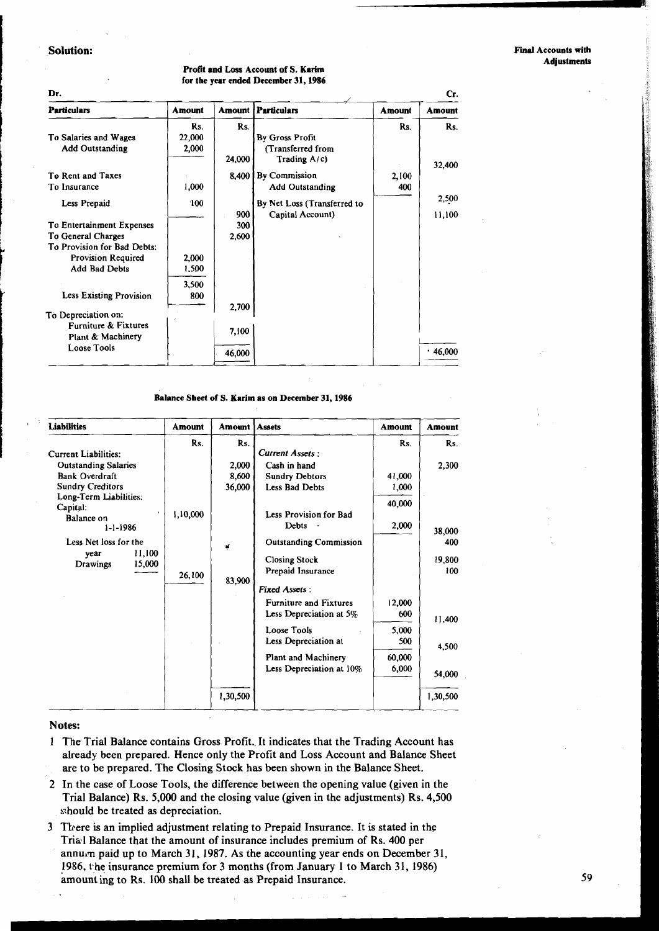#### I **Solution:**

**Dr.** 

|  | Profit and Loss Account of S. Karim  |
|--|--------------------------------------|
|  | for the year ended December 31, 1986 |

| Dr.<br>Cr.                     |               |        |                             |               |               |
|--------------------------------|---------------|--------|-----------------------------|---------------|---------------|
| <b>Particulars</b>             | <b>Amount</b> | Amount | <b>Particulars</b>          | <b>Amount</b> | <b>Amount</b> |
|                                | Rs.           | Rs.    |                             | Rs.           | Rs.           |
| To Salaries and Wages          | 22,000        |        | By Gross Profit             |               |               |
| <b>Add Outstanding</b>         | 2,000         |        | (Transferred from           |               |               |
|                                |               | 24,000 | Trading $A/c$ )             |               | 32,400        |
| To Rent and Taxes              |               | 8,400  | <b>By Commission</b>        | 2,100         |               |
| To Insurance                   | 1,000         |        | <b>Add Outstanding</b>      | 400           |               |
| Less Prepaid                   | 100           |        | By Net Loss (Transferred to |               | 2,500         |
|                                |               | 900    | Capital Account)            |               | 11,100        |
| To Entertainment Expenses      |               | 300    |                             |               |               |
| To General Charges             |               | 2,600  |                             |               |               |
| To Provision for Bad Debts:    |               |        |                             |               |               |
| <b>Provision Required</b>      | 2,000         |        |                             |               |               |
| Add Bad Debts                  | 1,500         |        |                             |               |               |
|                                | 3.500         |        |                             |               |               |
| <b>Less Existing Provision</b> | 800           |        |                             |               |               |
|                                |               | 2,700  |                             |               |               |
| To Depreciation on:            |               |        |                             |               |               |
| Furniture & Fixtures           |               | 7,100  |                             |               |               |
| Plant & Machinery              |               |        |                             |               |               |
| <b>Loose Tools</b>             |               | 46,000 |                             |               | .46,000       |
|                                |               |        |                             |               |               |

**Balance** Sheet of **S. Karim as on December** 31,1986

| <b>Liabilities</b>                                                                                                     | Amount   | <b>Amount</b>   | <b>Assets</b>                                                                                                                                                                                                                                            | <b>Amount</b>                                    | <b>Amount</b>                                               |
|------------------------------------------------------------------------------------------------------------------------|----------|-----------------|----------------------------------------------------------------------------------------------------------------------------------------------------------------------------------------------------------------------------------------------------------|--------------------------------------------------|-------------------------------------------------------------|
| <b>Current Liabilities:</b><br><b>Outstanding Salaries</b>                                                             | Rs.      | Rs.<br>2,000    | <b>Current Assets:</b><br>Cash in hand                                                                                                                                                                                                                   | Rs.                                              | Rs.<br>2,300                                                |
| <b>Bank Overdraft</b><br><b>Sundry Creditors</b><br>Long-Term Liabilities:<br>Capital:<br>Balance on<br>$1 - 1 - 1986$ | 1,10,000 | 8,600<br>36,000 | <b>Sundry Debtors</b><br><b>Less Bad Debts</b><br>Less Provision for Bad<br>Debts                                                                                                                                                                        | 41,000<br>1,000<br>40,000<br>2,000               |                                                             |
| Less Net loss for the<br>11,100<br>vear<br>15,000<br>Drawings                                                          | 26,100   | Ķ<br>83,900     | <b>Outstanding Commission</b><br><b>Closing Stock</b><br>Prepaid Insurance<br><b>Fixed Assets:</b><br><b>Furniture and Fixtures</b><br>Less Depreciation at 5%<br>Loose Tools<br>Less Depreciation at<br>Plant and Machinery<br>Less Depreciation at 10% | 12,000<br>600<br>5,000<br>500<br>60,000<br>6,000 | 38,000<br>400<br>19,800<br>100<br>11,400<br>4,500<br>54,000 |
|                                                                                                                        |          | 1,30,500        |                                                                                                                                                                                                                                                          |                                                  | 1,30,500                                                    |

#### **Notes:**

- 1 The Trial Balance contains Gross Profit. It indicates that the Trading Account has already been prepared. Hence only the Profit and Loss Account and Balance Sheet are to be prepared. The Closing Stock has been shown in the Balance Sheet.
- 2 In the case of Loose Tools, the difference between the opening value (given in the Trial Balance) Rs. **5,000** and the closing value (given in the adjustments) Rs. **4,500**  should be treated as depreciation.
- 3 There is an implied adjustment relating to Prepaid Insurance. It is stated in the Trial Balance that the amount of insurance includes premium of Rs. **400** per annum paid up to March 31, 1987. As the accounting year ends on December 31, 1986, the insurance premium for 3 months (from January 1 to March 31, 1986) amount ing to Rs. 100 shall be treated as Prepaid Insurance.

59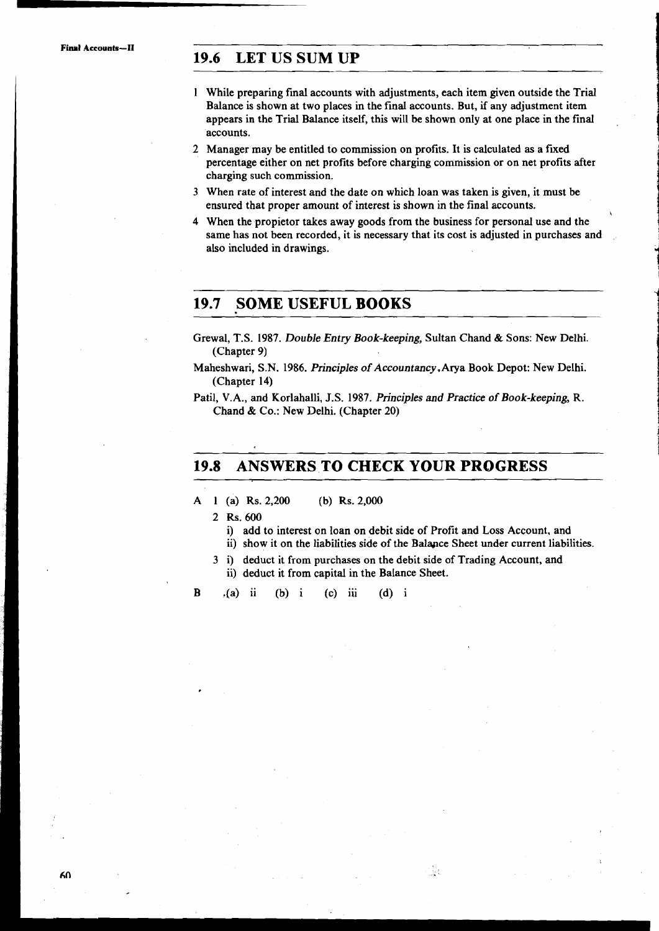**Final Accounts-I1** 

# **19.6 LET US SUM UP**

- 1 While preparing final accounts with adjustments, each item given outside the Trial Balance is shown at two places in the final accounts. But, if any adjustment item appears in the Trial Balance itself, this will be shown only at one place in the final accounts.
- 2 Manager may be entitled to commission on profits. It is calculated as a fixed percentage either on net profits before charging commission or on net profits after charging such commission.
- 3 When rate of interest and the date on which loan was taken is given, it must be ensured that proper amount of interest is shown in the final accounts.
- 4 When the propietor takes away goods from the business for personal use and the same has not been recorded, it is necessary that its cost is adjusted in purchases and also included in drawings.

# **19.7 SOME USEFUL BOOKS**

- Grewal, T.S. 1987. Double Entry Book-keeping, Sultan Chand & Sons: New Delhi. (Chapter 9)
- Maheshwari, S.N. 1986. Principles of Accountancy. Arya Book Depot: New Delhi. (Chapter 14)
- Patil, V.A., and Korlahalli, J.S. 1987. Principles and Practice of Book-keeping, R. Chand & Co.: New Delhi. (Chapter 20)

# **19.8 ANSWERS TO CHECK YOUR PROGRESS**

- **A** 1 (a) Rs. 2,200 (b) Rs. 2,000
	- 2 Rs. 600
		- i) add to interest on loan on debit side of Profit and Loss Account, and
		- ii) show it on the liabilities side of the Balance Sheet under current liabilities.

Ŵ.

3 i) deduct it from purchases on the debit side of Trading Account, and ii) deduct it from capital in the Balance Sheet.

B  $(2)$  ii (b) i (c) iii (d) i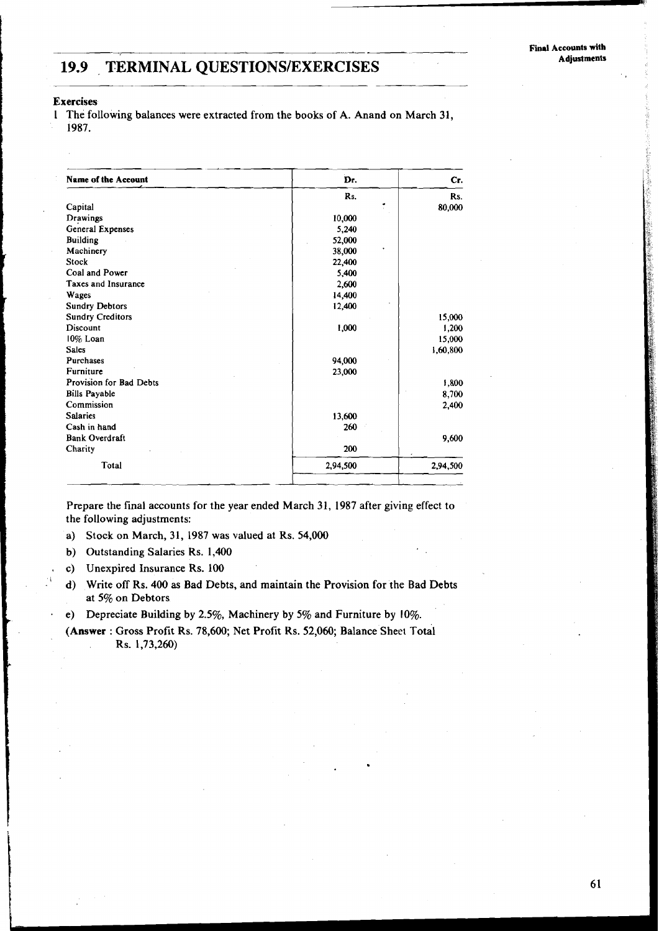# TERMINAL QUESTIONS/EXERCISES **19.9 TERMINAL QUESTIONSIEXERCISES Adjustments**

#### **Exercises**

1 The following balances were extracted from the books of A. Anand on March 31, 1987.

| <b>Name of the Account</b> | Dr.      | Cr.      |
|----------------------------|----------|----------|
|                            | Rs.      | Rs.      |
| Capital                    |          | 80,000   |
| Drawings                   | 10,000   |          |
| General Expenses           | 5,240    |          |
| <b>Building</b>            | 52,000   |          |
| Machinery                  | 38,000   |          |
| Stock                      | 22,400   |          |
| Coal and Power             | 5,400    |          |
| Taxes and Insurance        | 2,600    |          |
| Wages                      | 14,400   |          |
| <b>Sundry Debtors</b>      | 12,400   |          |
| <b>Sundry Creditors</b>    |          | 15,000   |
| Discount                   | 1,000    | 1,200    |
| 10% Loan                   |          | 15,000   |
| <b>Sales</b>               |          | 1,60,800 |
| Purchases                  | 94,000   |          |
| Furniture                  | 23,000   |          |
| Provision for Bad Debts    |          | 1,800    |
| <b>Bills Payable</b>       |          | 8,700    |
| Commission                 |          | 2,400    |
| <b>Salaries</b>            | 13,600   |          |
| Cash in hand               | 260      |          |
| <b>Bank Overdraft</b>      |          | 9,600    |
| Charity                    | 200      |          |
| Total                      | 2,94,500 | 2,94,500 |

Prepare the final accounts for the year ended March 31, 1987 after giving effect to the following adjustments:

- a) Stock on March, 31, 1987 was valued at Rs. 54,000
- b) Outstanding Salaries Rs. 1,400
- c) Unexpired Insurance Rs. 100
- d) Write off Rs. 400 as Bad Debts, and maintain the Provision for the Bad Debts at 5% on Debtors
- **<sup>a</sup>**e) Depreciate Building by 2.5%, Machinery by 5% and Furniture by 10%.
- (Answer: Gross Profit Rs. 78,600; Net Profit Rs. 52,060; Balance Sheet Total Rs. 1,73,260)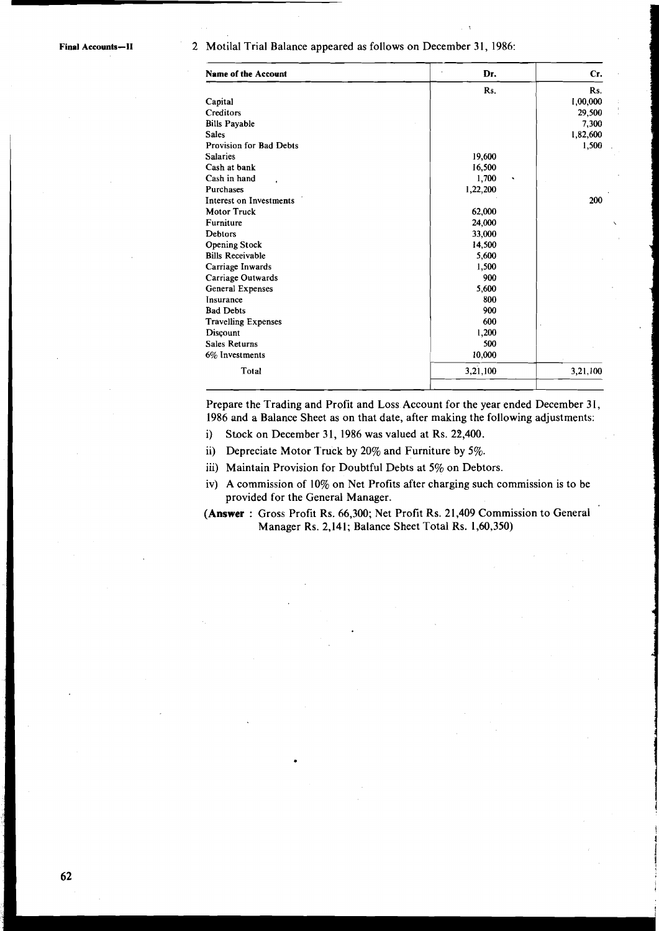#### Final Accounts-II 2 Motilal Trial Balance appeared as follows on December 31, 1986:

| <b>Name of the Account</b> | Dr.      | Cr.      |
|----------------------------|----------|----------|
|                            | Rs.      | Rs.      |
| Capital                    |          | 1,00,000 |
| Creditors                  |          | 29,500   |
| <b>Bills Payable</b>       |          | 7,300    |
| <b>Sales</b>               |          | 1,82,600 |
| Provision for Bad Debts    |          | 1,500    |
| <b>Salaries</b>            | 19,600   |          |
| Cash at bank               | 16,500   |          |
| Cash in hand               | 1,700    |          |
| Purchases                  | 1,22,200 |          |
| Interest on Investments    |          | 200      |
| <b>Motor Truck</b>         | 62,000   |          |
| Furniture                  | 24,000   |          |
| <b>Debtors</b>             | 33,000   |          |
| <b>Opening Stock</b>       | 14,500   |          |
| <b>Bills Receivable</b>    | 5,600    |          |
| Carriage Inwards           | 1,500    |          |
| Carriage Outwards          | 900      |          |
| General Expenses           | 5,600    |          |
| Insurance                  | 800      |          |
| <b>Bad Debts</b>           | 900      |          |
| <b>Travelling Expenses</b> | 600      |          |
| Discount                   | 1,200    |          |
| <b>Sales Returns</b>       | 500      |          |
| 6% Investments             | 10,000   |          |
| Total                      | 3,21,100 | 3,21,100 |

 $\ddot{\phantom{0}}$ 

!

**1**  I 1

I

Prepare the Trading and Profit and Loss Account for the year ended December 31, 1986 and a Balance Sheet as on that date, after making the following adjustments:

- i) Stock on December 31, 1986 was valued at Rs. 22,400.
- ii) Depreciate Motor Truck by 20% and Furniture by 5%.
- iii) Maintain Provision for Doubtful Debts at **5%** on Debtors.
- iv) A commission of 10% on Net Profits after charging such commission is to be provided for the General Manager.
- **(Answer** : Gross Profit Rs. 66,300; Net Profit Rs. 21,409 Commission to General Manager Rs. 2,141; Balance Sheet Total Rs. 1,60,350)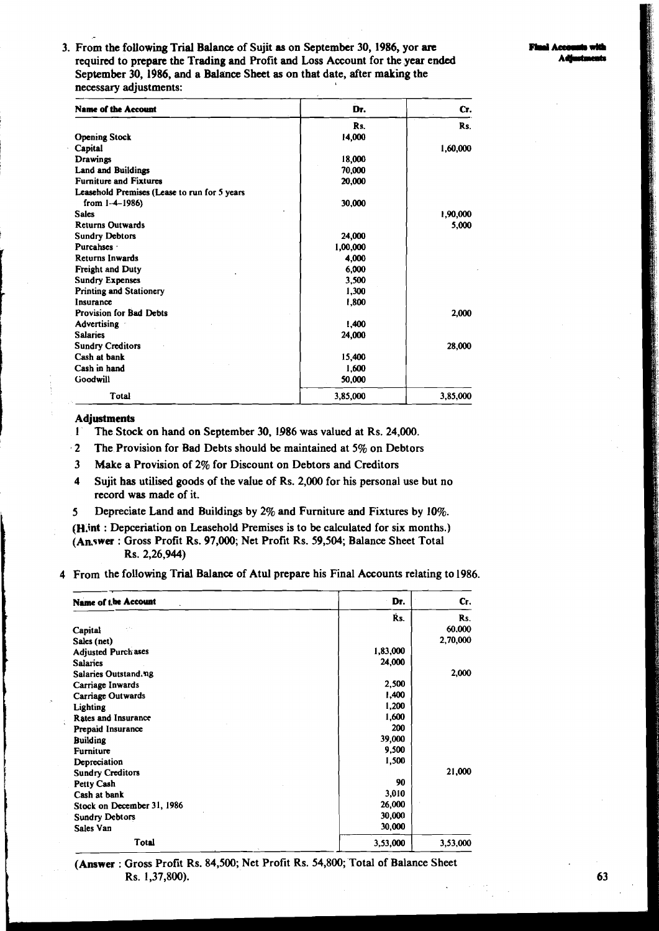3. From the following Trial Balance of Sujit as on September 30, 1986, yor are required to prepare the Trading and Profit and Loss Account for the year ended September 30, 1986, and a Balance Sheet as on that date, after making the necessary adjustments:

| <b>Name of the Account</b>                   | Dr.      | CT.      |
|----------------------------------------------|----------|----------|
|                                              | Rs.      | Rs.      |
| <b>Opening Stock</b>                         | 14,000   |          |
| Capital                                      |          | 1,60,000 |
| <b>Drawings</b>                              | 18,000   |          |
| <b>Land and Buildings</b>                    | 70,000   |          |
| <b>Furniture and Fixtures</b>                | 20,000   |          |
| Leasehold Premises (Lease to run for 5 years |          |          |
| from $1-4-1986$ )                            | 30,000   |          |
| <b>Sales</b>                                 |          | 1,90,000 |
| <b>Returns Outwards</b>                      |          | 5,000    |
| <b>Sundry Debtors</b>                        | 24,000   |          |
| Purcahses ·                                  | 1,00,000 |          |
| <b>Returns Inwards</b>                       | 4,000    |          |
| <b>Freight and Duty</b>                      | 6,000    |          |
| <b>Sundry Expenses</b>                       | 3,500    |          |
| <b>Printing and Stationery</b>               | 1,300    |          |
| Insurance                                    | 1,800    |          |
| <b>Provision for Bad Debts</b>               |          | 2,000    |
| <b>Advertising</b>                           | 1,400    |          |
| <b>Salaries</b>                              | 24,000   |          |
| <b>Sundry Creditors</b>                      |          | 28,000   |
| Cash at bank                                 | 15,400   |          |
| Cash in hand                                 | 1,600    |          |
| Goodwill                                     | 50,000   |          |
| <b>Total</b>                                 | 3,85,000 | 3,85,000 |

#### Adjustments

- 1 The Stock on hand on September 30, 1986 was valued at Rs. 24,000.
- **.2** The Provision for Bad Debts should be maintained at 5% on Debtors
- 3 Make a Provision of 2% for Discount on Debtors and Creditors
- 4 Sujit has utilised goods of the value of Rs. 2,000 for his personal use but no record was made of it.
- **5** Depreciate Land and Buildings by 2% and Furniture and Fixtures by 10%.
- (H.int : Depceriation on Leasehold Premises is to be calculated for six months.) (An.swer : Gross Profit Rs. 97,000; Net Profit Rs. 59,504; Balance Sheet Total Rs. 2,26,944)
- **4** From the following Trial Balance of Atul prepare his Final Accounts relating to 1986.

| Name of the Account        | Dr.      | Cr.      |
|----------------------------|----------|----------|
|                            | Ŕs.      | Rs.      |
| Capital                    |          | 60,000   |
| Sales (net)                |          | 2,70,000 |
| <b>Adjusted Purch ases</b> | 1,83,000 |          |
| <b>Salaries</b>            | 24,000   |          |
| Salaries Outstand.ng       |          | 2,000    |
| Carriage Inwards           | 2,500    |          |
| <b>Carriage Outwards</b>   | 1,400    |          |
| Lighting                   | 1,200    |          |
| <b>Rates and Insurance</b> | 1,600    |          |
| Prepaid Insurance          | 200      |          |
| <b>Building</b>            | 39,000   |          |
| Furniture                  | 9,500    |          |
| Depreciation               | 1,500    |          |
| <b>Sundry Creditors</b>    |          | 21,000   |
| Petty Cash                 | 90       |          |
| Cash at bank               | 3,010    |          |
| Stock on December 31, 1986 | 26,000   |          |
| <b>Sundry Debtors</b>      | 30,000   |          |
| Sales Van                  | 30,000   |          |
| <b>Total</b>               | 3,53,000 | 3,53,000 |

**(Answer** : Gross Profit Rs. 84,500; Net Profit Rs. 54,800; Total of Balance Sheet Rs. 1,37,800). 63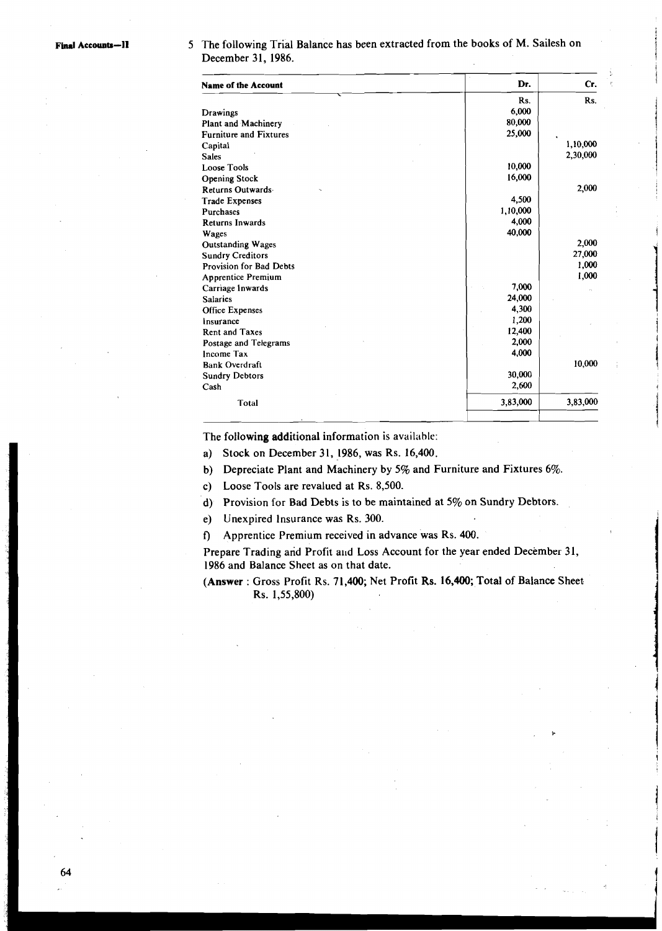5 The following Trial Balance has been extracted from the books of M. Sailesh on December 31, 1986.

| <b>Name of the Account</b>    | Dr.      | Сr.      |
|-------------------------------|----------|----------|
|                               | Rs.      | Rs.      |
| Drawings                      | 6.000    |          |
| Plant and Machinery           | 80,000   |          |
| <b>Furniture and Fixtures</b> | 25,000   |          |
| Capital                       |          | 1,10,000 |
| <b>Sales</b>                  |          | 2,30,000 |
| <b>Loose Tools</b>            | 10,000   |          |
| <b>Opening Stock</b>          | 16,000   |          |
| Returns Outwards              |          | 2,000    |
| <b>Trade Expenses</b>         | 4,500    |          |
| <b>Purchases</b>              | 1,10,000 |          |
| <b>Returns Inwards</b>        | 4,000    |          |
| Wages                         | 40,000   |          |
| <b>Outstanding Wages</b>      |          | 2,000    |
| <b>Sundry Creditors</b>       |          | 27,000   |
| Provision for Bad Debts       |          | 1.000    |
| <b>Apprentice Premium</b>     |          | 1,000    |
| Carriage Inwards              | 7,000    |          |
| <b>Salaries</b>               | 24,000   |          |
| Office Expenses               | 4,300    |          |
| Insurance                     | 1,200    |          |
| <b>Rent and Taxes</b>         | 12,400   |          |
| Postage and Telegrams         | 2,000    |          |
| Income Tax                    | 4,000    |          |
| <b>Bank Overdraft</b>         |          | 10,000   |
| <b>Sundry Debtors</b>         | 30,000   |          |
| Cash                          | 2,600    |          |
| Total                         | 3,83,000 | 3,83,000 |
|                               |          |          |

The following additional information is available:

a) Stock on December 31, 1986, was Rs. 16,400.

b) Depreciate Plant and Machinery by 5% and Furniture and Fixtures 6%.

c) Loose Tools are revalued at Rs. 8,500.

d) Provision for Bad Debts is to be maintained at 5% on Sundry Debtors.

e) Unexpired lnsurance was Rs. 300.

**f)** Apprentice Premium received in advance was Rs. 400.

Prepare Trading and Profit and Loss Account for the year ended December 31, 1986 and Balance Sheet as on that date.

**(Answer** : Gross Profit Rs. 7 1,400; Net Profit Rs. 16,400; Total of Balance Sheet. Rs. 1,55,800)